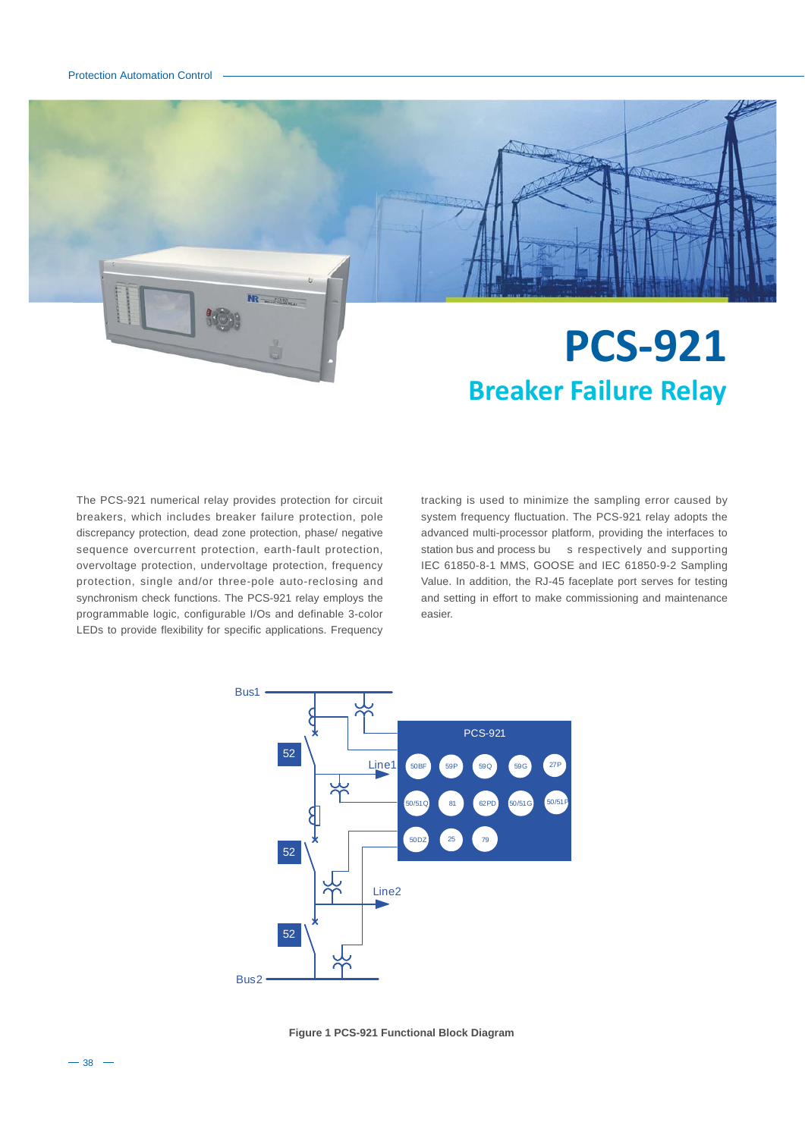

# The PCS-921 numerical relay provides protection for circuit breakers, which includes breaker failure protection, pole discrepancy protection, dead zone protection, phase/ negative sequence overcurrent protection, earth-fault protection, overvoltage protection, undervoltage protection, frequency protection, single and/or three-pole auto-reclosing and synchronism check functions. The PCS-921 relay employs the programmable logic, configurable I/Os and definable 3-color LEDs to provide flexibility for specific applications. Frequency

tracking is used to minimize the sampling error caused by system frequency fluctuation. The PCS-921 relay adopts the advanced multi-processor platform, providing the interfaces to station bus and process bu s respectively and supporting IEC 61850-8-1 MMS, GOOSE and IEC 61850-9-2 Sampling Value. In addition, the RJ-45 faceplate port serves for testing and setting in effort to make commissioning and maintenance easier.



**Figure 1 PCS-921 Functional Block Diagram**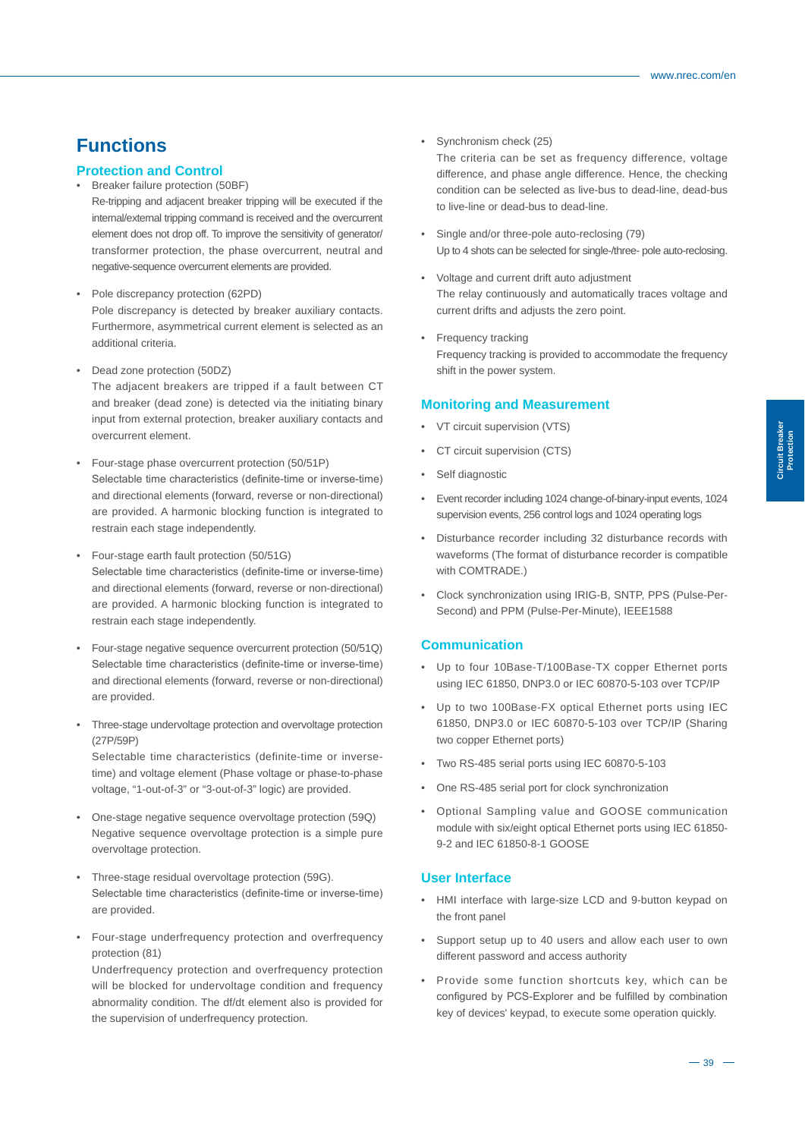# **Functions**

## **Protection and Control**

- Breaker failure protection (50BF)
	- Re-tripping and adjacent breaker tripping will be executed if the internal/external tripping command is received and the overcurrent element does not drop off. To improve the sensitivity of generator/ transformer protection, the phase overcurrent, neutral and negative-sequence overcurrent elements are provided.
- Pole discrepancy protection (62PD) Pole discrepancy is detected by breaker auxiliary contacts. Furthermore, asymmetrical current element is selected as an additional criteria.
- Dead zone protection (50DZ)

The adjacent breakers are tripped if a fault between CT and breaker (dead zone) is detected via the initiating binary input from external protection, breaker auxiliary contacts and overcurrent element.

- Four-stage phase overcurrent protection (50/51P) Selectable time characteristics (definite-time or inverse-time) and directional elements (forward, reverse or non-directional) are provided. A harmonic blocking function is integrated to restrain each stage independently.
- Four-stage earth fault protection (50/51G) Selectable time characteristics (definite-time or inverse-time) and directional elements (forward, reverse or non-directional) are provided. A harmonic blocking function is integrated to restrain each stage independently.
- Four-stage negative sequence overcurrent protection (50/51Q) Selectable time characteristics (definite-time or inverse-time) and directional elements (forward, reverse or non-directional) are provided.
- Three-stage undervoltage protection and overvoltage protection (27P/59P) Selectable time characteristics (definite-time or inversetime) and voltage element (Phase voltage or phase-to-phase

voltage, "1-out-of-3" or "3-out-of-3" logic) are provided.

- One-stage negative sequence overvoltage protection (59Q) Negative sequence overvoltage protection is a simple pure overvoltage protection.
- Three-stage residual overvoltage protection (59G). Selectable time characteristics (definite-time or inverse-time) are provided.
- Four-stage underfrequency protection and overfrequency protection (81)

Underfrequency protection and overfrequency protection will be blocked for undervoltage condition and frequency abnormality condition. The df/dt element also is provided for the supervision of underfrequency protection.

• Synchronism check (25)

The criteria can be set as frequency difference, voltage difference, and phase angle difference. Hence, the checking condition can be selected as live-bus to dead-line, dead-bus to live-line or dead-bus to dead-line.

- Single and/or three-pole auto-reclosing (79) Up to 4 shots can be selected for single-/three- pole auto-reclosing.
- Voltage and current drift auto adjustment The relay continuously and automatically traces voltage and current drifts and adjusts the zero point.
- Frequency tracking Frequency tracking is provided to accommodate the frequency shift in the power system.

#### **Monitoring and Measurement**

- VT circuit supervision (VTS)
- CT circuit supervision (CTS)
- Self diagnostic
- Event recorder including 1024 change-of-binary-input events, 1024 supervision events, 256 control logs and 1024 operating logs
- Disturbance recorder including 32 disturbance records with waveforms (The format of disturbance recorder is compatible with COMTRADE.)
- Clock synchronization using IRIG-B, SNTP, PPS (Pulse-Per-Second) and PPM (Pulse-Per-Minute), IEEE1588

## **Communication**

- Up to four 10Base-T/100Base-TX copper Ethernet ports using IEC 61850, DNP3.0 or IEC 60870-5-103 over TCP/IP
- Up to two 100Base-FX optical Ethernet ports using IEC 61850, DNP3.0 or IEC 60870-5-103 over TCP/IP (Sharing two copper Ethernet ports)
- Two RS-485 serial ports using IEC 60870-5-103
- One RS-485 serial port for clock synchronization
- Optional Sampling value and GOOSE communication module with six/eight optical Ethernet ports using IEC 61850- 9-2 and IEC 61850-8-1 GOOSE

### **User Interface**

- HMI interface with large-size LCD and 9-button keypad on the front panel
- Support setup up to 40 users and allow each user to own different password and access authority
- Provide some function shortcuts key, which can be configured by PCS-Explorer and be fulfilled by combination key of devices' keypad, to execute some operation quickly.